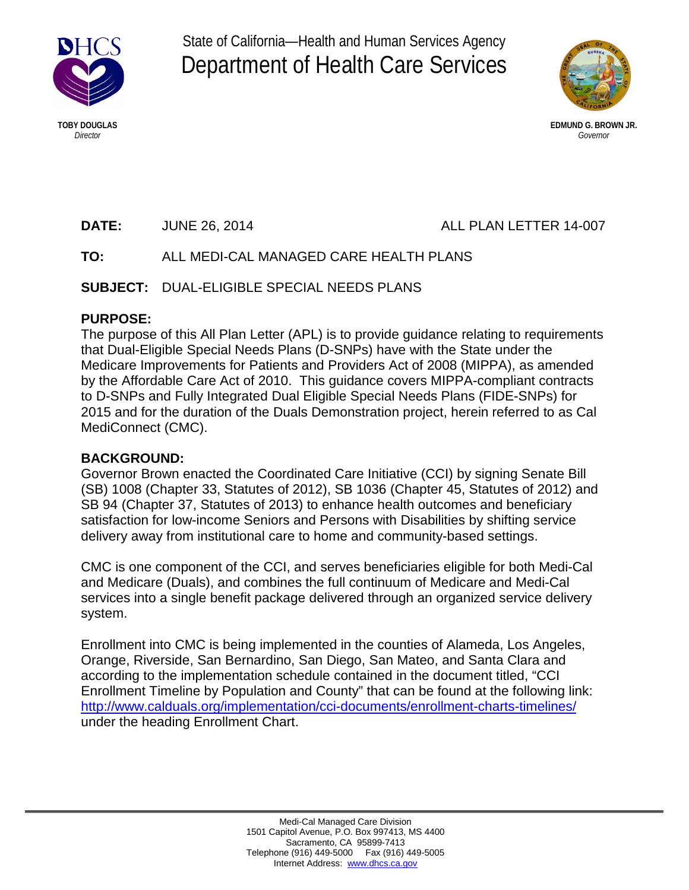

State of California—Health and Human Services Agency Department of Health Care Services



**TOBY DOUGLAS EDMUND G. BROWN JR.** *Director Governor*

**DATE:** JUNE 26, 2014 **ALL PLAN LETTER 14-007** 

# **TO:** ALL MEDI-CAL MANAGED CARE HEALTH PLANS

**SUBJECT:** DUAL-ELIGIBLE SPECIAL NEEDS PLANS

### **PURPOSE:**

The purpose of this All Plan Letter (APL) is to provide guidance relating to requirements that Dual-Eligible Special Needs Plans (D-SNPs) have with the State under the Medicare Improvements for Patients and Providers Act of 2008 (MIPPA), as amended by the Affordable Care Act of 2010. This guidance covers MIPPA-compliant contracts to D-SNPs and Fully Integrated Dual Eligible Special Needs Plans (FIDE-SNPs) for 2015 and for the duration of the Duals Demonstration project, herein referred to as Cal MediConnect (CMC).

## **BACKGROUND:**

Governor Brown enacted the Coordinated Care Initiative (CCI) by signing Senate Bill (SB) 1008 (Chapter 33, Statutes of 2012), SB 1036 (Chapter 45, Statutes of 2012) and SB 94 (Chapter 37, Statutes of 2013) to enhance health outcomes and beneficiary satisfaction for low-income Seniors and Persons with Disabilities by shifting service delivery away from institutional care to home and community-based settings.

CMC is one component of the CCI, and serves beneficiaries eligible for both Medi-Cal and Medicare (Duals), and combines the full continuum of Medicare and Medi-Cal services into a single benefit package delivered through an organized service delivery system.

Enrollment into CMC is being implemented in the counties of Alameda, Los Angeles, Orange, Riverside, San Bernardino, San Diego, San Mateo, and Santa Clara and according to the implementation schedule contained in the document titled, "CCI Enrollment Timeline by Population and County" that can be found at the following link: <http://www.calduals.org/implementation/cci-documents/enrollment-charts-timelines/> under the heading Enrollment Chart.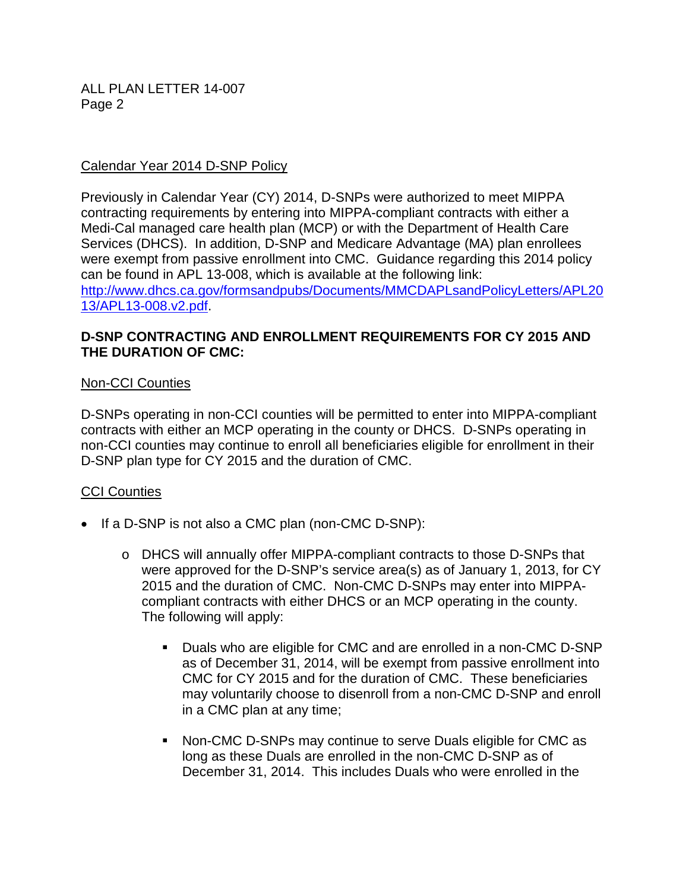### Calendar Year 2014 D-SNP Policy

Previously in Calendar Year (CY) 2014, D-SNPs were authorized to meet MIPPA contracting requirements by entering into MIPPA-compliant contracts with either a Medi-Cal managed care health plan (MCP) or with the Department of Health Care Services (DHCS). In addition, D-SNP and Medicare Advantage (MA) plan enrollees were exempt from passive enrollment into CMC. Guidance regarding this 2014 policy can be found in APL 13-008, which is available at the following link: [http://www.dhcs.ca.gov/formsandpubs/Documents/MMCDAPLsandPolicyLetters/APL20](http://www.dhcs.ca.gov/formsandpubs/Documents/MMCDAPLsandPolicyLetters/APL2013/APL13-008.v2.pdf) [13/APL13-008.v2.pdf.](http://www.dhcs.ca.gov/formsandpubs/Documents/MMCDAPLsandPolicyLetters/APL2013/APL13-008.v2.pdf)

### **D-SNP CONTRACTING AND ENROLLMENT REQUIREMENTS FOR CY 2015 AND THE DURATION OF CMC:**

### Non-CCI Counties

D-SNPs operating in non-CCI counties will be permitted to enter into MIPPA-compliant contracts with either an MCP operating in the county or DHCS. D-SNPs operating in non-CCI counties may continue to enroll all beneficiaries eligible for enrollment in their D-SNP plan type for CY 2015 and the duration of CMC.

#### CCI Counties

- If a D-SNP is not also a CMC plan (non-CMC D-SNP):
	- o DHCS will annually offer MIPPA-compliant contracts to those D-SNPs that were approved for the D-SNP's service area(s) as of January 1, 2013, for CY 2015 and the duration of CMC. Non-CMC D-SNPs may enter into MIPPAcompliant contracts with either DHCS or an MCP operating in the county. The following will apply:
		- Duals who are eligible for CMC and are enrolled in a non-CMC D-SNP as of December 31, 2014, will be exempt from passive enrollment into CMC for CY 2015 and for the duration of CMC. These beneficiaries may voluntarily choose to disenroll from a non-CMC D-SNP and enroll in a CMC plan at any time;
		- Non-CMC D-SNPs may continue to serve Duals eligible for CMC as long as these Duals are enrolled in the non-CMC D-SNP as of December 31, 2014. This includes Duals who were enrolled in the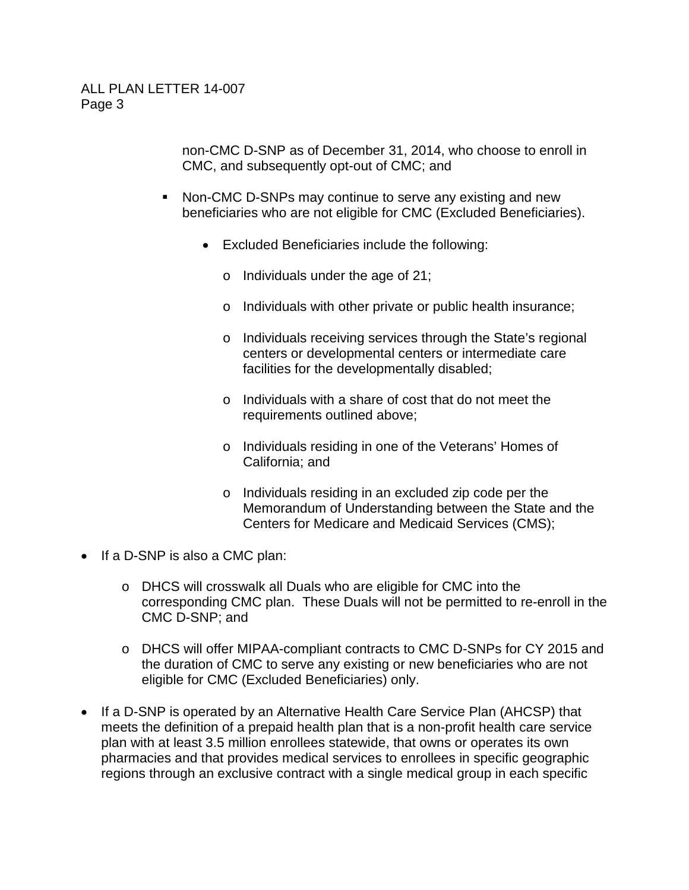non-CMC D-SNP as of December 31, 2014, who choose to enroll in CMC, and subsequently opt-out of CMC; and

- Non-CMC D-SNPs may continue to serve any existing and new beneficiaries who are not eligible for CMC (Excluded Beneficiaries).
	- Excluded Beneficiaries include the following:
		- o Individuals under the age of 21;
		- o Individuals with other private or public health insurance;
		- o Individuals receiving services through the State's regional centers or developmental centers or intermediate care facilities for the developmentally disabled;
		- o Individuals with a share of cost that do not meet the requirements outlined above;
		- o Individuals residing in one of the Veterans' Homes of California; and
		- o Individuals residing in an excluded zip code per the Memorandum of Understanding between the State and the Centers for Medicare and Medicaid Services (CMS);
- If a D-SNP is also a CMC plan:
	- o DHCS will crosswalk all Duals who are eligible for CMC into the corresponding CMC plan. These Duals will not be permitted to re-enroll in the CMC D-SNP; and
	- o DHCS will offer MIPAA-compliant contracts to CMC D-SNPs for CY 2015 and the duration of CMC to serve any existing or new beneficiaries who are not eligible for CMC (Excluded Beneficiaries) only.
- If a D-SNP is operated by an Alternative Health Care Service Plan (AHCSP) that meets the definition of a prepaid health plan that is a non-profit health care service plan with at least 3.5 million enrollees statewide, that owns or operates its own pharmacies and that provides medical services to enrollees in specific geographic regions through an exclusive contract with a single medical group in each specific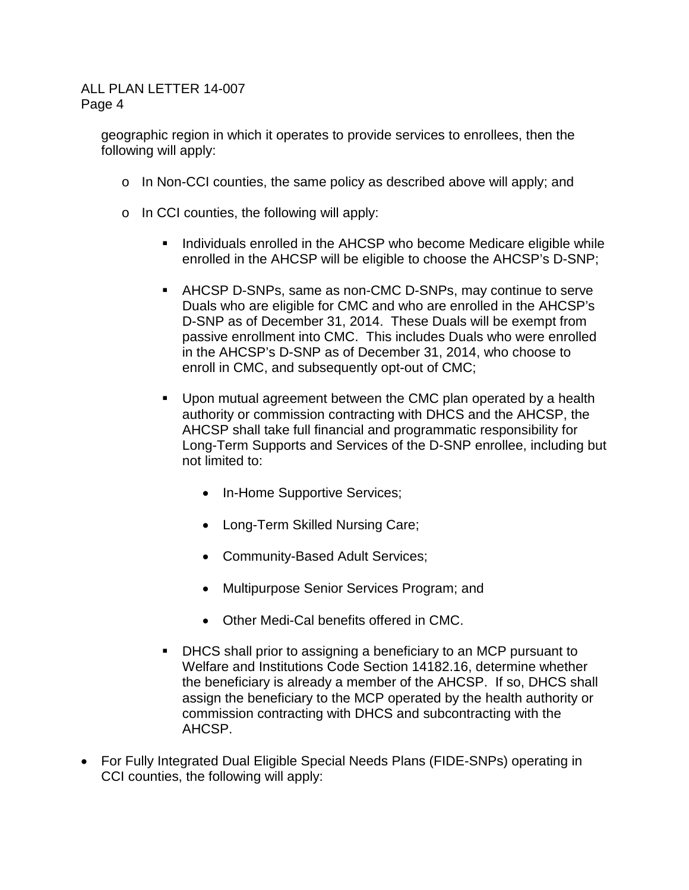geographic region in which it operates to provide services to enrollees, then the following will apply:

- $\circ$  In Non-CCI counties, the same policy as described above will apply; and
- o In CCI counties, the following will apply:
	- **IF Individuals enrolled in the AHCSP who become Medicare eligible while** enrolled in the AHCSP will be eligible to choose the AHCSP's D-SNP;
	- AHCSP D-SNPs, same as non-CMC D-SNPs, may continue to serve Duals who are eligible for CMC and who are enrolled in the AHCSP's D-SNP as of December 31, 2014. These Duals will be exempt from passive enrollment into CMC. This includes Duals who were enrolled in the AHCSP's D-SNP as of December 31, 2014, who choose to enroll in CMC, and subsequently opt-out of CMC;
	- Upon mutual agreement between the CMC plan operated by a health authority or commission contracting with DHCS and the AHCSP, the AHCSP shall take full financial and programmatic responsibility for Long-Term Supports and Services of the D-SNP enrollee, including but not limited to:
		- In-Home Supportive Services;
		- Long-Term Skilled Nursing Care;
		- Community-Based Adult Services;
		- Multipurpose Senior Services Program; and
		- Other Medi-Cal benefits offered in CMC.
	- DHCS shall prior to assigning a beneficiary to an MCP pursuant to Welfare and Institutions Code Section 14182.16, determine whether the beneficiary is already a member of the AHCSP. If so, DHCS shall assign the beneficiary to the MCP operated by the health authority or commission contracting with DHCS and subcontracting with the AHCSP.
- For Fully Integrated Dual Eligible Special Needs Plans (FIDE-SNPs) operating in CCI counties, the following will apply: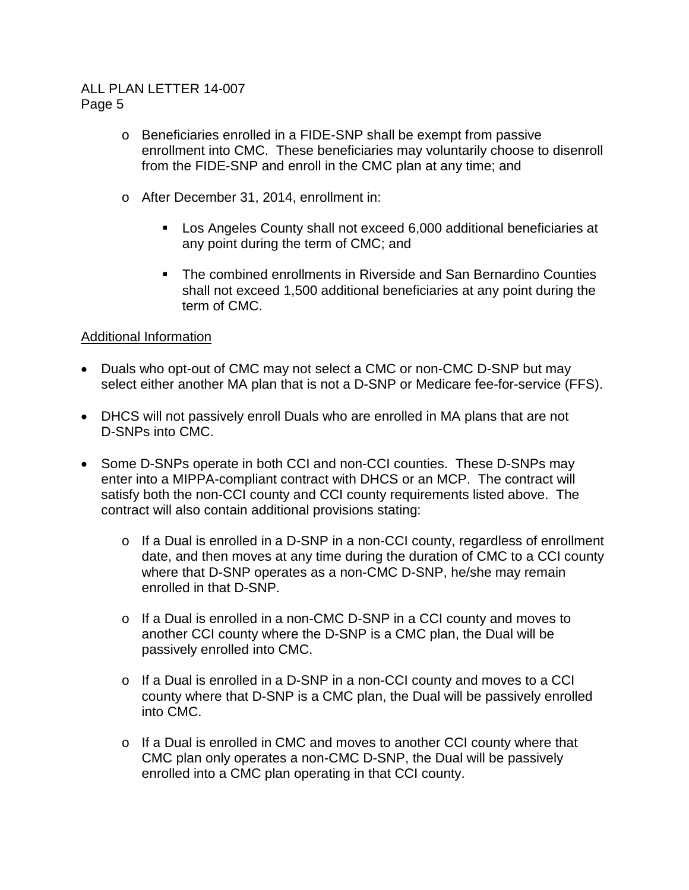- o Beneficiaries enrolled in a FIDE-SNP shall be exempt from passive enrollment into CMC. These beneficiaries may voluntarily choose to disenroll from the FIDE-SNP and enroll in the CMC plan at any time; and
- o After December 31, 2014, enrollment in:
	- Los Angeles County shall not exceed 6,000 additional beneficiaries at any point during the term of CMC; and
	- The combined enrollments in Riverside and San Bernardino Counties shall not exceed 1,500 additional beneficiaries at any point during the term of CMC.

## Additional Information

- Duals who opt-out of CMC may not select a CMC or non-CMC D-SNP but may select either another MA plan that is not a D-SNP or Medicare fee-for-service (FFS).
- DHCS will not passively enroll Duals who are enrolled in MA plans that are not D-SNPs into CMC.
- Some D-SNPs operate in both CCI and non-CCI counties. These D-SNPs may enter into a MIPPA-compliant contract with DHCS or an MCP. The contract will satisfy both the non-CCI county and CCI county requirements listed above. The contract will also contain additional provisions stating:
	- o If a Dual is enrolled in a D-SNP in a non-CCI county, regardless of enrollment date, and then moves at any time during the duration of CMC to a CCI county where that D-SNP operates as a non-CMC D-SNP, he/she may remain enrolled in that D-SNP.
	- o If a Dual is enrolled in a non-CMC D-SNP in a CCI county and moves to another CCI county where the D-SNP is a CMC plan, the Dual will be passively enrolled into CMC.
	- o If a Dual is enrolled in a D-SNP in a non-CCI county and moves to a CCI county where that D-SNP is a CMC plan, the Dual will be passively enrolled into CMC.
	- o If a Dual is enrolled in CMC and moves to another CCI county where that CMC plan only operates a non-CMC D-SNP, the Dual will be passively enrolled into a CMC plan operating in that CCI county.